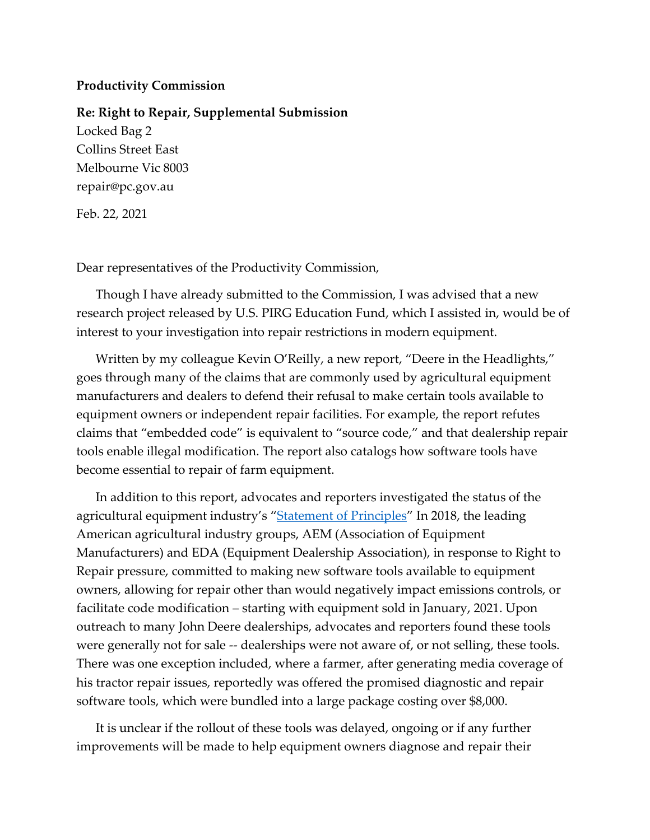## **Productivity Commission**

**Re: Right to Repair, Supplemental Submission** Locked Bag 2 Collins Street East Melbourne Vic 8003

repair@pc.gov.au

Feb. 22, 2021

Dear representatives of the Productivity Commission,

Though I have already submitted to the Commission, I was advised that a new research project released by U.S. PIRG Education Fund, which I assisted in, would be of interest to your investigation into repair restrictions in modern equipment.

Written by my colleague Kevin O'Reilly, a new report, "Deere in the Headlights," goes through many of the claims that are commonly used by agricultural equipment manufacturers and dealers to defend their refusal to make certain tools available to equipment owners or independent repair facilities. For example, the report refutes claims that "embedded code" is equivalent to "source code," and that dealership repair tools enable illegal modification. The report also catalogs how software tools have become essential to repair of farm equipment.

In addition to this report, advocates and reporters investigated the status of the agricultural equipment industry's "[Statement of Principles](https://r2rsolutions.org/documents/4/r2r_statement_of_principles.pdf)" In 2018, the leading American agricultural industry groups, AEM (Association of Equipment Manufacturers) and EDA (Equipment Dealership Association), in response to Right to Repair pressure, committed to making new software tools available to equipment owners, allowing for repair other than would negatively impact emissions controls, or facilitate code modification – starting with equipment sold in January, 2021. Upon outreach to many John Deere dealerships, advocates and reporters found these tools were generally not for sale -- dealerships were not aware of, or not selling, these tools. There was one exception included, where a farmer, after generating media coverage of his tractor repair issues, reportedly was offered the promised diagnostic and repair software tools, which were bundled into a large package costing over \$8,000.

It is unclear if the rollout of these tools was delayed, ongoing or if any further improvements will be made to help equipment owners diagnose and repair their